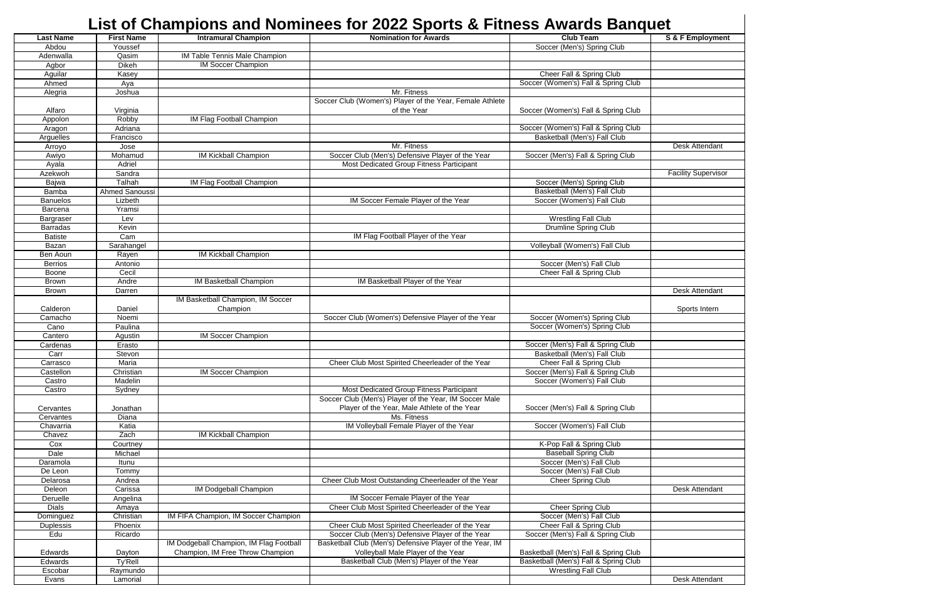| List of Champions and Nominees for 2022 Sports & Fitness Awards Banquet |                   |                                         |                                                          |                                       |                            |
|-------------------------------------------------------------------------|-------------------|-----------------------------------------|----------------------------------------------------------|---------------------------------------|----------------------------|
| <b>Last Name</b>                                                        | <b>First Name</b> | <b>Intramural Champion</b>              | <b>Nomination for Awards</b>                             | <b>Club Team</b>                      | S & F Employment           |
| Abdou                                                                   | Youssef           |                                         |                                                          | Soccer (Men's) Spring Club            |                            |
| Adenwalla                                                               | Qasim             | IM Table Tennis Male Champion           |                                                          |                                       |                            |
| Agbor                                                                   | Dikeh             | <b>IM Soccer Champion</b>               |                                                          |                                       |                            |
| Aguilar                                                                 | Kasey             |                                         |                                                          | Cheer Fall & Spring Club              |                            |
| Ahmed                                                                   | Aya               |                                         |                                                          | Soccer (Women's) Fall & Spring Club   |                            |
| Alegria                                                                 | Joshua            |                                         | Mr. Fitness                                              |                                       |                            |
|                                                                         |                   |                                         | Soccer Club (Women's) Player of the Year, Female Athlete |                                       |                            |
| Alfaro                                                                  | Virginia          |                                         | of the Year                                              | Soccer (Women's) Fall & Spring Club   |                            |
| Appolon                                                                 | Robby             | IM Flag Football Champion               |                                                          |                                       |                            |
| Aragon                                                                  | Adriana           |                                         |                                                          | Soccer (Women's) Fall & Spring Club   |                            |
| Arguelles                                                               | Francisco         |                                         |                                                          | Basketball (Men's) Fall Club          |                            |
| Arroyo                                                                  | Jose              |                                         | Mr. Fitness                                              |                                       | Desk Attendant             |
| Awiyo                                                                   | Mohamud           | IM Kickball Champion                    | Soccer Club (Men's) Defensive Player of the Year         | Soccer (Men's) Fall & Spring Club     |                            |
| Ayala                                                                   | Adriel            |                                         | Most Dedicated Group Fitness Participant                 |                                       |                            |
| Azekwoh                                                                 | Sandra            |                                         |                                                          |                                       | <b>Facility Supervisor</b> |
| Bajwa                                                                   | Talhah            | IM Flag Football Champion               |                                                          | Soccer (Men's) Spring Club            |                            |
| Bamba                                                                   | Ahmed Sanoussi    |                                         |                                                          | Basketball (Men's) Fall Club          |                            |
| <b>Banuelos</b>                                                         | Lizbeth           |                                         | IM Soccer Female Player of the Year                      | Soccer (Women's) Fall Club            |                            |
| Barcena                                                                 | Yramsi            |                                         |                                                          |                                       |                            |
| Bargraser                                                               | Lev               |                                         |                                                          | <b>Wrestling Fall Club</b>            |                            |
| <b>Barradas</b>                                                         | Kevin             |                                         |                                                          | <b>Drumline Spring Club</b>           |                            |
| <b>Batiste</b>                                                          | Cam               |                                         | IM Flag Football Player of the Year                      |                                       |                            |
| Bazan                                                                   | Sarahangel        |                                         |                                                          | Volleyball (Women's) Fall Club        |                            |
| Ben Aoun                                                                | Rayen             | <b>IM Kickball Champion</b>             |                                                          |                                       |                            |
| <b>Berrios</b>                                                          | Antonio           |                                         |                                                          | Soccer (Men's) Fall Club              |                            |
| Boone                                                                   | Cecil             |                                         |                                                          | Cheer Fall & Spring Club              |                            |
| <b>Brown</b>                                                            | Andre             | IM Basketball Champion                  | IM Basketball Player of the Year                         |                                       |                            |
| <b>Brown</b>                                                            | Darren            |                                         |                                                          |                                       | Desk Attendant             |
|                                                                         |                   | IM Basketball Champion, IM Soccer       |                                                          |                                       |                            |
| Calderon                                                                | Daniel            | Champion                                |                                                          |                                       | Sports Intern              |
| Camacho                                                                 | Noemi             |                                         | Soccer Club (Women's) Defensive Player of the Year       | Soccer (Women's) Spring Club          |                            |
| Cano                                                                    | Paulina           |                                         |                                                          | Soccer (Women's) Spring Club          |                            |
| Cantero                                                                 | Agustin           | <b>IM Soccer Champion</b>               |                                                          |                                       |                            |
| Cardenas                                                                | Erasto            |                                         |                                                          | Soccer (Men's) Fall & Spring Club     |                            |
| Carr                                                                    | Stevon            |                                         |                                                          | Basketball (Men's) Fall Club          |                            |
| Carrasco                                                                | Maria             |                                         | Cheer Club Most Spirited Cheerleader of the Year         | Cheer Fall & Spring Club              |                            |
| Castellon                                                               | Christian         | IM Soccer Champion                      |                                                          | Soccer (Men's) Fall & Spring Club     |                            |
| Castro                                                                  | Madelin           |                                         |                                                          | Soccer (Women's) Fall Club            |                            |
| Castro                                                                  | Sydney            |                                         | Most Dedicated Group Fitness Participant                 |                                       |                            |
|                                                                         |                   |                                         | Soccer Club (Men's) Player of the Year, IM Soccer Male   |                                       |                            |
| Cervantes                                                               | Jonathan          |                                         | Player of the Year, Male Athlete of the Year             | Soccer (Men's) Fall & Spring Club     |                            |
| Cervantes                                                               | <b>Diana</b>      |                                         | Ms. Fitness                                              |                                       |                            |
| Chavarria                                                               | Katia             |                                         | IM Volleyball Female Player of the Year                  | Soccer (Women's) Fall Club            |                            |
| Chavez                                                                  | Zach              | IM Kickball Champion                    |                                                          |                                       |                            |
| Cox                                                                     | Courtney          |                                         |                                                          | K-Pop Fall & Spring Club              |                            |
| Dale                                                                    | Michael           |                                         |                                                          | <b>Baseball Spring Club</b>           |                            |
| Daramola                                                                | Itunu             |                                         |                                                          | Soccer (Men's) Fall Club              |                            |
| De Leon                                                                 | Tommy             |                                         |                                                          | Soccer (Men's) Fall Club              |                            |
| Delarosa                                                                | Andrea            |                                         | Cheer Club Most Outstanding Cheerleader of the Year      | Cheer Spring Club                     |                            |
| Deleon                                                                  | Carissa           | <b>IM Dodgeball Champion</b>            |                                                          |                                       | Desk Attendant             |
| Deruelle                                                                | Angelina          |                                         | IM Soccer Female Player of the Year                      |                                       |                            |
| <b>Dials</b>                                                            | Amaya             |                                         | Cheer Club Most Spirited Cheerleader of the Year         | <b>Cheer Spring Club</b>              |                            |
| Dominguez                                                               | Christian         | IM FIFA Champion, IM Soccer Champion    |                                                          | Soccer (Men's) Fall Club              |                            |
| Duplessis                                                               | Phoenix           |                                         | Cheer Club Most Spirited Cheerleader of the Year         | Cheer Fall & Spring Club              |                            |
| Edu                                                                     | Ricardo           |                                         | Soccer Club (Men's) Defensive Player of the Year         | Soccer (Men's) Fall & Spring Club     |                            |
|                                                                         |                   | IM Dodgeball Champion, IM Flag Football | Basketball Club (Men's) Defensive Player of the Year, IM |                                       |                            |
| Edwards                                                                 | Dayton            | Champion, IM Free Throw Champion        | Volleyball Male Player of the Year                       | Basketball (Men's) Fall & Spring Club |                            |
| Edwards                                                                 | Ty'Rell           |                                         | Basketball Club (Men's) Player of the Year               | Basketball (Men's) Fall & Spring Club |                            |
| Escobar                                                                 | Raymundo          |                                         |                                                          | <b>Wrestling Fall Club</b>            |                            |
| Evans                                                                   | Lamorial          |                                         |                                                          |                                       | Desk Attendant             |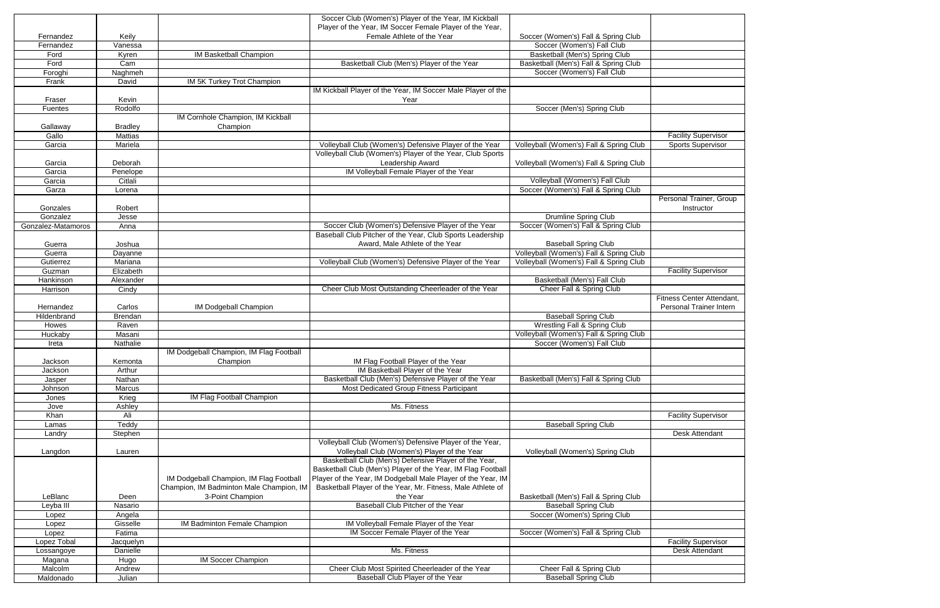|                    |                |                                          | Soccer Club (Women's) Player of the Year, IM Kickball        |                                         |                            |
|--------------------|----------------|------------------------------------------|--------------------------------------------------------------|-----------------------------------------|----------------------------|
|                    |                |                                          | Player of the Year, IM Soccer Female Player of the Year,     |                                         |                            |
| Fernandez          | Keily          |                                          | Female Athlete of the Year                                   | Soccer (Women's) Fall & Spring Club     |                            |
| Fernandez          | Vanessa        |                                          |                                                              | Soccer (Women's) Fall Club              |                            |
| Ford               | Kyren          | <b>IM Basketball Champion</b>            |                                                              | Basketball (Men's) Spring Club          |                            |
| Ford               | Cam            |                                          | Basketball Club (Men's) Player of the Year                   | Basketball (Men's) Fall & Spring Club   |                            |
|                    |                |                                          |                                                              |                                         |                            |
| Foroghi            | <b>Naghmeh</b> |                                          |                                                              | Soccer (Women's) Fall Club              |                            |
| Frank              | <b>David</b>   | IM 5K Turkey Trot Champion               |                                                              |                                         |                            |
|                    |                |                                          | IM Kickball Player of the Year, IM Soccer Male Player of the |                                         |                            |
| Fraser             | Kevin          |                                          | Year                                                         |                                         |                            |
| Fuentes            | Rodolfo        |                                          |                                                              | Soccer (Men's) Spring Club              |                            |
|                    |                | IM Cornhole Champion, IM Kickball        |                                                              |                                         |                            |
| Gallaway           | <b>Bradley</b> | Champion                                 |                                                              |                                         |                            |
| Gallo              | <b>Mattias</b> |                                          |                                                              |                                         | <b>Facility Supervisor</b> |
| Garcia             | Mariela        |                                          | Volleyball Club (Women's) Defensive Player of the Year       | Volleyball (Women's) Fall & Spring Club | <b>Sports Supervisor</b>   |
|                    |                |                                          | Volleyball Club (Women's) Player of the Year, Club Sports    |                                         |                            |
| Garcia             | Deborah        |                                          | Leadership Award                                             | Volleyball (Women's) Fall & Spring Club |                            |
| Garcia             |                |                                          | IM Volleyball Female Player of the Year                      |                                         |                            |
|                    | Penelope       |                                          |                                                              |                                         |                            |
| Garcia             | Citlali        |                                          |                                                              | Volleyball (Women's) Fall Club          |                            |
| Garza              | Lorena         |                                          |                                                              | Soccer (Women's) Fall & Spring Club     |                            |
|                    |                |                                          |                                                              |                                         | Personal Trainer, Group    |
| Gonzales           | Robert         |                                          |                                                              |                                         | Instructor                 |
| Gonzalez           | Jesse          |                                          |                                                              | <b>Drumline Spring Club</b>             |                            |
| Gonzalez-Matamoros | Anna           |                                          | Soccer Club (Women's) Defensive Player of the Year           | Soccer (Women's) Fall & Spring Club     |                            |
|                    |                |                                          | Baseball Club Pitcher of the Year, Club Sports Leadership    |                                         |                            |
| Guerra             | Joshua         |                                          | Award, Male Athlete of the Year                              | <b>Baseball Spring Club</b>             |                            |
| Guerra             | Dayanne        |                                          |                                                              | Volleyball (Women's) Fall & Spring Club |                            |
| Gutierrez          | Mariana        |                                          | Volleyball Club (Women's) Defensive Player of the Year       | Volleyball (Women's) Fall & Spring Club |                            |
|                    | Elizabeth      |                                          |                                                              |                                         | <b>Facility Supervisor</b> |
| Guzman             |                |                                          |                                                              |                                         |                            |
| Hankinson          | Alexander      |                                          |                                                              | Basketball (Men's) Fall Club            |                            |
| Harrison           | Cindy          |                                          | Cheer Club Most Outstanding Cheerleader of the Year          | Cheer Fall & Spring Club                |                            |
|                    |                |                                          |                                                              |                                         | Fitness Center Attendant,  |
| Hernandez          | Carlos         | IM Dodgeball Champion                    |                                                              |                                         | Personal Trainer Intern    |
| Hildenbrand        | <b>Brendan</b> |                                          |                                                              | <b>Baseball Spring Club</b>             |                            |
|                    |                |                                          |                                                              |                                         |                            |
| Howes              | Raven          |                                          |                                                              | <b>Wrestling Fall &amp; Spring Club</b> |                            |
| Huckaby            | Masani         |                                          |                                                              | Volleyball (Women's) Fall & Spring Club |                            |
|                    |                |                                          |                                                              |                                         |                            |
| Ireta              | Nathalie       |                                          |                                                              | Soccer (Women's) Fall Club              |                            |
|                    |                | IM Dodgeball Champion, IM Flag Football  |                                                              |                                         |                            |
| Jackson            | Kemonta        | Champion                                 | IM Flag Football Player of the Year                          |                                         |                            |
| Jackson            | Arthur         |                                          | IM Basketball Player of the Year                             |                                         |                            |
| Jasper             | Nathan         |                                          | Basketball Club (Men's) Defensive Player of the Year         | Basketball (Men's) Fall & Spring Club   |                            |
| Johnson            | Marcus         |                                          | Most Dedicated Group Fitness Participant                     |                                         |                            |
| Jones              | Krieg          | IM Flag Football Champion                |                                                              |                                         |                            |
| Jove               | Ashley         |                                          | Ms. Fitness                                                  |                                         |                            |
| Khan               | Ali            |                                          |                                                              |                                         | <b>Facility Supervisor</b> |
| Lamas              | Teddy          |                                          |                                                              | <b>Baseball Spring Club</b>             |                            |
| Landry             | Stephen        |                                          |                                                              |                                         | <b>Desk Attendant</b>      |
|                    |                |                                          | Volleyball Club (Women's) Defensive Player of the Year,      |                                         |                            |
|                    | Lauren         |                                          | Volleyball Club (Women's) Player of the Year                 | Volleyball (Women's) Spring Club        |                            |
| Langdon            |                |                                          | Basketball Club (Men's) Defensive Player of the Year,        |                                         |                            |
|                    |                |                                          |                                                              |                                         |                            |
|                    |                |                                          | Basketball Club (Men's) Player of the Year, IM Flag Football |                                         |                            |
|                    |                | IM Dodgeball Champion, IM Flag Football  | Player of the Year, IM Dodgeball Male Player of the Year, IM |                                         |                            |
|                    |                | Champion, IM Badminton Male Champion, IM | Basketball Player of the Year, Mr. Fitness, Male Athlete of  |                                         |                            |
| LeBlanc            | Deen           | 3-Point Champion                         | the Year                                                     | Basketball (Men's) Fall & Spring Club   |                            |
| Leyba III          | Nasario        |                                          | Baseball Club Pitcher of the Year                            | <b>Baseball Spring Club</b>             |                            |
| Lopez              | Angela         |                                          |                                                              | Soccer (Women's) Spring Club            |                            |
| Lopez              | Gisselle       | IM Badminton Female Champion             | IM Volleyball Female Player of the Year                      |                                         |                            |
| Lopez              | Fatima         |                                          | IM Soccer Female Player of the Year                          | Soccer (Women's) Fall & Spring Club     |                            |
| Lopez Tobal        | Jacquelyn      |                                          |                                                              |                                         | <b>Facility Supervisor</b> |
| Lossangoye         | Danielle       |                                          | Ms. Fitness                                                  |                                         | <b>Desk Attendant</b>      |
| Magana             | Hugo           | <b>IM Soccer Champion</b>                |                                                              |                                         |                            |
| Malcolm            | Andrew         |                                          | Cheer Club Most Spirited Cheerleader of the Year             | Cheer Fall & Spring Club                |                            |
| Maldonado          | Julian         |                                          | Baseball Club Player of the Year                             | <b>Baseball Spring Club</b>             |                            |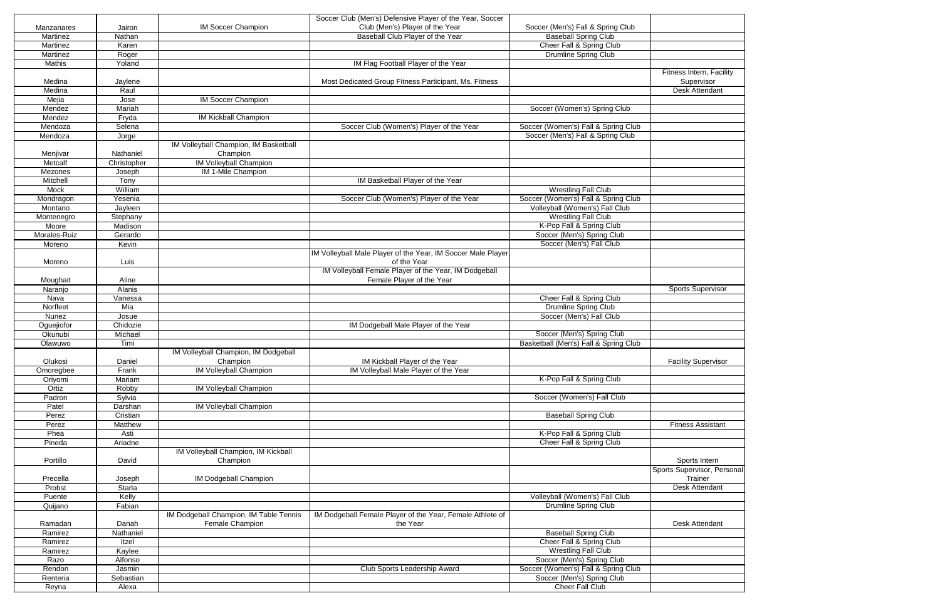| Soccer Club (Men's) Defensive Player of the Year, Soccer<br>Club (Men's) Player of the Year<br><b>IM Soccer Champion</b><br>Soccer (Men's) Fall & Spring Club<br>Manzanares<br>Jairon<br>Baseball Club Player of the Year<br><b>Baseball Spring Club</b><br>Martinez<br>Nathan<br>Cheer Fall & Spring Club<br>Martinez<br>Karen<br><b>Drumline Spring Club</b><br>Martinez<br>Roger<br>IM Flag Football Player of the Year<br><b>Mathis</b><br>Yoland<br>Fitness Intern, Facility<br>Most Dedicated Group Fitness Participant, Ms. Fitness<br>Supervisor<br>Medina<br>Jaylene<br>Medina<br>Raul<br><b>Desk Attendant</b><br><b>IM Soccer Champion</b><br>Mejia<br>Jose<br>Mariah<br>Soccer (Women's) Spring Club<br>Mendez<br><b>IM Kickball Champion</b><br>Mendez<br>Fryda<br>Soccer Club (Women's) Player of the Year<br>Soccer (Women's) Fall & Spring Club<br>Mendoza<br>Selena<br>Soccer (Men's) Fall & Spring Club<br>Mendoza<br>Jorge<br>IM Volleyball Champion, IM Basketball<br>Champion<br>Menjivar<br>Nathaniel<br><b>IM Volleyball Champion</b><br>Metcalf<br>Christopher<br>IM 1-Mile Champion<br>Mezones<br>Joseph<br>IM Basketball Player of the Year<br>Mitchell<br>Tony<br>William<br><b>Wrestling Fall Club</b><br>Mock<br>Soccer Club (Women's) Player of the Year<br>Soccer (Women's) Fall & Spring Club<br>Yesenia<br>Mondragon<br>Volleyball (Women's) Fall Club<br>Montano<br>Jayleen<br><b>Wrestling Fall Club</b><br>Stephany<br>Montenegro<br>K-Pop Fall & Spring Club<br>Moore<br>Madison<br>Morales-Ruiz<br>Soccer (Men's) Spring Club<br>Gerardo<br>Soccer (Men's) Fall Club<br>Moreno<br>Kevin<br>IM Volleyball Male Player of the Year, IM Soccer Male Player<br>of the Year<br>Moreno<br>Luis<br>IM Volleyball Female Player of the Year, IM Dodgeball<br>Female Player of the Year<br>Aline<br>Moughait<br><b>Alanis</b><br>Naranjo<br><b>Sports Supervisor</b><br>Cheer Fall & Spring Club<br>Nava<br>Vanessa<br><b>Drumline Spring Club</b><br>Mia<br>Norfleet<br>Soccer (Men's) Fall Club<br><b>Nunez</b><br>Josue<br>Chidozie<br>IM Dodgeball Male Player of the Year<br>Oguejiofor<br>Soccer (Men's) Spring Club<br>Okunubi<br>Michael<br>Basketball (Men's) Fall & Spring Club<br>Timi<br>Olawuwo<br>IM Volleyball Champion, IM Dodgeball<br>Champion<br>IM Kickball Player of the Year<br>Olukosi<br>Daniel<br><b>Facility Supervisor</b><br>Frank<br><b>IM Volleyball Champion</b><br>IM Volleyball Male Player of the Year<br>Omoregbee<br>Mariam<br>K-Pop Fall & Spring Club<br>Oriyomi<br><b>IM Volleyball Champion</b><br>Ortiz<br>Robby<br>Soccer (Women's) Fall Club<br>Sylvia<br>Padron<br><b>IM Volleyball Champion</b><br>Patel<br>Darshan<br><b>Baseball Spring Club</b><br>Perez<br>Cristian<br>Perez<br>Matthew<br><b>Fitness Assistant</b><br>K-Pop Fall & Spring Club<br>Phea<br>Asti<br>Cheer Fall & Spring Club<br>Pineda<br>Ariadne<br>IM Volleyball Champion, IM Kickball<br>Portillo<br>David<br>Sports Intern<br>Champion<br>Trainer<br>Precella<br>IM Dodgeball Champion<br>Joseph<br>Probst<br><b>Starla</b><br><b>Desk Attendant</b><br>Kelly<br>Volleyball (Women's) Fall Club<br>Puente<br>Fabian<br>Drumline Spring Club<br>Quijano<br>IM Dodgeball Champion, IM Table Tennis<br>IM Dodgeball Female Player of the Year, Female Athlete of<br>Female Champion<br>the Year<br>Desk Attendant<br>Ramadan<br>Danah<br><b>Baseball Spring Club</b><br>Nathaniel<br>Ramirez<br>Cheer Fall & Spring Club<br>Itzel<br>Ramirez<br><b>Wrestling Fall Club</b><br>Kaylee<br>Ramirez<br>Alfonso<br>Soccer (Men's) Spring Club<br>Razo<br>Soccer (Women's) Fall & Spring Club<br>Club Sports Leadership Award<br>Rendon<br>Jasmin<br>Soccer (Men's) Spring Club<br>Sebastian<br>Renteria<br>Cheer Fall Club<br>Reyna<br>Alexa |  |  |  |
|---------------------------------------------------------------------------------------------------------------------------------------------------------------------------------------------------------------------------------------------------------------------------------------------------------------------------------------------------------------------------------------------------------------------------------------------------------------------------------------------------------------------------------------------------------------------------------------------------------------------------------------------------------------------------------------------------------------------------------------------------------------------------------------------------------------------------------------------------------------------------------------------------------------------------------------------------------------------------------------------------------------------------------------------------------------------------------------------------------------------------------------------------------------------------------------------------------------------------------------------------------------------------------------------------------------------------------------------------------------------------------------------------------------------------------------------------------------------------------------------------------------------------------------------------------------------------------------------------------------------------------------------------------------------------------------------------------------------------------------------------------------------------------------------------------------------------------------------------------------------------------------------------------------------------------------------------------------------------------------------------------------------------------------------------------------------------------------------------------------------------------------------------------------------------------------------------------------------------------------------------------------------------------------------------------------------------------------------------------------------------------------------------------------------------------------------------------------------------------------------------------------------------------------------------------------------------------------------------------------------------------------------------------------------------------------------------------------------------------------------------------------------------------------------------------------------------------------------------------------------------------------------------------------------------------------------------------------------------------------------------------------------------------------------------------------------------------------------------------------------------------------------------------------------------------------------------------------------------------------------------------------------------------------------------------------------------------------------------------------------------------------------------------------------------------------------------------------------------------------------------------------------------------------------------------------------------------------------------------------------------------------------------------------------------------------------------------------------------------------------------------------------------------------|--|--|--|
|                                                                                                                                                                                                                                                                                                                                                                                                                                                                                                                                                                                                                                                                                                                                                                                                                                                                                                                                                                                                                                                                                                                                                                                                                                                                                                                                                                                                                                                                                                                                                                                                                                                                                                                                                                                                                                                                                                                                                                                                                                                                                                                                                                                                                                                                                                                                                                                                                                                                                                                                                                                                                                                                                                                                                                                                                                                                                                                                                                                                                                                                                                                                                                                                                                                                                                                                                                                                                                                                                                                                                                                                                                                                                                                                                                                       |  |  |  |
|                                                                                                                                                                                                                                                                                                                                                                                                                                                                                                                                                                                                                                                                                                                                                                                                                                                                                                                                                                                                                                                                                                                                                                                                                                                                                                                                                                                                                                                                                                                                                                                                                                                                                                                                                                                                                                                                                                                                                                                                                                                                                                                                                                                                                                                                                                                                                                                                                                                                                                                                                                                                                                                                                                                                                                                                                                                                                                                                                                                                                                                                                                                                                                                                                                                                                                                                                                                                                                                                                                                                                                                                                                                                                                                                                                                       |  |  |  |
|                                                                                                                                                                                                                                                                                                                                                                                                                                                                                                                                                                                                                                                                                                                                                                                                                                                                                                                                                                                                                                                                                                                                                                                                                                                                                                                                                                                                                                                                                                                                                                                                                                                                                                                                                                                                                                                                                                                                                                                                                                                                                                                                                                                                                                                                                                                                                                                                                                                                                                                                                                                                                                                                                                                                                                                                                                                                                                                                                                                                                                                                                                                                                                                                                                                                                                                                                                                                                                                                                                                                                                                                                                                                                                                                                                                       |  |  |  |
|                                                                                                                                                                                                                                                                                                                                                                                                                                                                                                                                                                                                                                                                                                                                                                                                                                                                                                                                                                                                                                                                                                                                                                                                                                                                                                                                                                                                                                                                                                                                                                                                                                                                                                                                                                                                                                                                                                                                                                                                                                                                                                                                                                                                                                                                                                                                                                                                                                                                                                                                                                                                                                                                                                                                                                                                                                                                                                                                                                                                                                                                                                                                                                                                                                                                                                                                                                                                                                                                                                                                                                                                                                                                                                                                                                                       |  |  |  |
|                                                                                                                                                                                                                                                                                                                                                                                                                                                                                                                                                                                                                                                                                                                                                                                                                                                                                                                                                                                                                                                                                                                                                                                                                                                                                                                                                                                                                                                                                                                                                                                                                                                                                                                                                                                                                                                                                                                                                                                                                                                                                                                                                                                                                                                                                                                                                                                                                                                                                                                                                                                                                                                                                                                                                                                                                                                                                                                                                                                                                                                                                                                                                                                                                                                                                                                                                                                                                                                                                                                                                                                                                                                                                                                                                                                       |  |  |  |
|                                                                                                                                                                                                                                                                                                                                                                                                                                                                                                                                                                                                                                                                                                                                                                                                                                                                                                                                                                                                                                                                                                                                                                                                                                                                                                                                                                                                                                                                                                                                                                                                                                                                                                                                                                                                                                                                                                                                                                                                                                                                                                                                                                                                                                                                                                                                                                                                                                                                                                                                                                                                                                                                                                                                                                                                                                                                                                                                                                                                                                                                                                                                                                                                                                                                                                                                                                                                                                                                                                                                                                                                                                                                                                                                                                                       |  |  |  |
|                                                                                                                                                                                                                                                                                                                                                                                                                                                                                                                                                                                                                                                                                                                                                                                                                                                                                                                                                                                                                                                                                                                                                                                                                                                                                                                                                                                                                                                                                                                                                                                                                                                                                                                                                                                                                                                                                                                                                                                                                                                                                                                                                                                                                                                                                                                                                                                                                                                                                                                                                                                                                                                                                                                                                                                                                                                                                                                                                                                                                                                                                                                                                                                                                                                                                                                                                                                                                                                                                                                                                                                                                                                                                                                                                                                       |  |  |  |
|                                                                                                                                                                                                                                                                                                                                                                                                                                                                                                                                                                                                                                                                                                                                                                                                                                                                                                                                                                                                                                                                                                                                                                                                                                                                                                                                                                                                                                                                                                                                                                                                                                                                                                                                                                                                                                                                                                                                                                                                                                                                                                                                                                                                                                                                                                                                                                                                                                                                                                                                                                                                                                                                                                                                                                                                                                                                                                                                                                                                                                                                                                                                                                                                                                                                                                                                                                                                                                                                                                                                                                                                                                                                                                                                                                                       |  |  |  |
| Sports Supervisor, Personal                                                                                                                                                                                                                                                                                                                                                                                                                                                                                                                                                                                                                                                                                                                                                                                                                                                                                                                                                                                                                                                                                                                                                                                                                                                                                                                                                                                                                                                                                                                                                                                                                                                                                                                                                                                                                                                                                                                                                                                                                                                                                                                                                                                                                                                                                                                                                                                                                                                                                                                                                                                                                                                                                                                                                                                                                                                                                                                                                                                                                                                                                                                                                                                                                                                                                                                                                                                                                                                                                                                                                                                                                                                                                                                                                           |  |  |  |
|                                                                                                                                                                                                                                                                                                                                                                                                                                                                                                                                                                                                                                                                                                                                                                                                                                                                                                                                                                                                                                                                                                                                                                                                                                                                                                                                                                                                                                                                                                                                                                                                                                                                                                                                                                                                                                                                                                                                                                                                                                                                                                                                                                                                                                                                                                                                                                                                                                                                                                                                                                                                                                                                                                                                                                                                                                                                                                                                                                                                                                                                                                                                                                                                                                                                                                                                                                                                                                                                                                                                                                                                                                                                                                                                                                                       |  |  |  |
|                                                                                                                                                                                                                                                                                                                                                                                                                                                                                                                                                                                                                                                                                                                                                                                                                                                                                                                                                                                                                                                                                                                                                                                                                                                                                                                                                                                                                                                                                                                                                                                                                                                                                                                                                                                                                                                                                                                                                                                                                                                                                                                                                                                                                                                                                                                                                                                                                                                                                                                                                                                                                                                                                                                                                                                                                                                                                                                                                                                                                                                                                                                                                                                                                                                                                                                                                                                                                                                                                                                                                                                                                                                                                                                                                                                       |  |  |  |
|                                                                                                                                                                                                                                                                                                                                                                                                                                                                                                                                                                                                                                                                                                                                                                                                                                                                                                                                                                                                                                                                                                                                                                                                                                                                                                                                                                                                                                                                                                                                                                                                                                                                                                                                                                                                                                                                                                                                                                                                                                                                                                                                                                                                                                                                                                                                                                                                                                                                                                                                                                                                                                                                                                                                                                                                                                                                                                                                                                                                                                                                                                                                                                                                                                                                                                                                                                                                                                                                                                                                                                                                                                                                                                                                                                                       |  |  |  |
|                                                                                                                                                                                                                                                                                                                                                                                                                                                                                                                                                                                                                                                                                                                                                                                                                                                                                                                                                                                                                                                                                                                                                                                                                                                                                                                                                                                                                                                                                                                                                                                                                                                                                                                                                                                                                                                                                                                                                                                                                                                                                                                                                                                                                                                                                                                                                                                                                                                                                                                                                                                                                                                                                                                                                                                                                                                                                                                                                                                                                                                                                                                                                                                                                                                                                                                                                                                                                                                                                                                                                                                                                                                                                                                                                                                       |  |  |  |
|                                                                                                                                                                                                                                                                                                                                                                                                                                                                                                                                                                                                                                                                                                                                                                                                                                                                                                                                                                                                                                                                                                                                                                                                                                                                                                                                                                                                                                                                                                                                                                                                                                                                                                                                                                                                                                                                                                                                                                                                                                                                                                                                                                                                                                                                                                                                                                                                                                                                                                                                                                                                                                                                                                                                                                                                                                                                                                                                                                                                                                                                                                                                                                                                                                                                                                                                                                                                                                                                                                                                                                                                                                                                                                                                                                                       |  |  |  |
|                                                                                                                                                                                                                                                                                                                                                                                                                                                                                                                                                                                                                                                                                                                                                                                                                                                                                                                                                                                                                                                                                                                                                                                                                                                                                                                                                                                                                                                                                                                                                                                                                                                                                                                                                                                                                                                                                                                                                                                                                                                                                                                                                                                                                                                                                                                                                                                                                                                                                                                                                                                                                                                                                                                                                                                                                                                                                                                                                                                                                                                                                                                                                                                                                                                                                                                                                                                                                                                                                                                                                                                                                                                                                                                                                                                       |  |  |  |
|                                                                                                                                                                                                                                                                                                                                                                                                                                                                                                                                                                                                                                                                                                                                                                                                                                                                                                                                                                                                                                                                                                                                                                                                                                                                                                                                                                                                                                                                                                                                                                                                                                                                                                                                                                                                                                                                                                                                                                                                                                                                                                                                                                                                                                                                                                                                                                                                                                                                                                                                                                                                                                                                                                                                                                                                                                                                                                                                                                                                                                                                                                                                                                                                                                                                                                                                                                                                                                                                                                                                                                                                                                                                                                                                                                                       |  |  |  |
|                                                                                                                                                                                                                                                                                                                                                                                                                                                                                                                                                                                                                                                                                                                                                                                                                                                                                                                                                                                                                                                                                                                                                                                                                                                                                                                                                                                                                                                                                                                                                                                                                                                                                                                                                                                                                                                                                                                                                                                                                                                                                                                                                                                                                                                                                                                                                                                                                                                                                                                                                                                                                                                                                                                                                                                                                                                                                                                                                                                                                                                                                                                                                                                                                                                                                                                                                                                                                                                                                                                                                                                                                                                                                                                                                                                       |  |  |  |
|                                                                                                                                                                                                                                                                                                                                                                                                                                                                                                                                                                                                                                                                                                                                                                                                                                                                                                                                                                                                                                                                                                                                                                                                                                                                                                                                                                                                                                                                                                                                                                                                                                                                                                                                                                                                                                                                                                                                                                                                                                                                                                                                                                                                                                                                                                                                                                                                                                                                                                                                                                                                                                                                                                                                                                                                                                                                                                                                                                                                                                                                                                                                                                                                                                                                                                                                                                                                                                                                                                                                                                                                                                                                                                                                                                                       |  |  |  |
|                                                                                                                                                                                                                                                                                                                                                                                                                                                                                                                                                                                                                                                                                                                                                                                                                                                                                                                                                                                                                                                                                                                                                                                                                                                                                                                                                                                                                                                                                                                                                                                                                                                                                                                                                                                                                                                                                                                                                                                                                                                                                                                                                                                                                                                                                                                                                                                                                                                                                                                                                                                                                                                                                                                                                                                                                                                                                                                                                                                                                                                                                                                                                                                                                                                                                                                                                                                                                                                                                                                                                                                                                                                                                                                                                                                       |  |  |  |
|                                                                                                                                                                                                                                                                                                                                                                                                                                                                                                                                                                                                                                                                                                                                                                                                                                                                                                                                                                                                                                                                                                                                                                                                                                                                                                                                                                                                                                                                                                                                                                                                                                                                                                                                                                                                                                                                                                                                                                                                                                                                                                                                                                                                                                                                                                                                                                                                                                                                                                                                                                                                                                                                                                                                                                                                                                                                                                                                                                                                                                                                                                                                                                                                                                                                                                                                                                                                                                                                                                                                                                                                                                                                                                                                                                                       |  |  |  |
|                                                                                                                                                                                                                                                                                                                                                                                                                                                                                                                                                                                                                                                                                                                                                                                                                                                                                                                                                                                                                                                                                                                                                                                                                                                                                                                                                                                                                                                                                                                                                                                                                                                                                                                                                                                                                                                                                                                                                                                                                                                                                                                                                                                                                                                                                                                                                                                                                                                                                                                                                                                                                                                                                                                                                                                                                                                                                                                                                                                                                                                                                                                                                                                                                                                                                                                                                                                                                                                                                                                                                                                                                                                                                                                                                                                       |  |  |  |
|                                                                                                                                                                                                                                                                                                                                                                                                                                                                                                                                                                                                                                                                                                                                                                                                                                                                                                                                                                                                                                                                                                                                                                                                                                                                                                                                                                                                                                                                                                                                                                                                                                                                                                                                                                                                                                                                                                                                                                                                                                                                                                                                                                                                                                                                                                                                                                                                                                                                                                                                                                                                                                                                                                                                                                                                                                                                                                                                                                                                                                                                                                                                                                                                                                                                                                                                                                                                                                                                                                                                                                                                                                                                                                                                                                                       |  |  |  |
|                                                                                                                                                                                                                                                                                                                                                                                                                                                                                                                                                                                                                                                                                                                                                                                                                                                                                                                                                                                                                                                                                                                                                                                                                                                                                                                                                                                                                                                                                                                                                                                                                                                                                                                                                                                                                                                                                                                                                                                                                                                                                                                                                                                                                                                                                                                                                                                                                                                                                                                                                                                                                                                                                                                                                                                                                                                                                                                                                                                                                                                                                                                                                                                                                                                                                                                                                                                                                                                                                                                                                                                                                                                                                                                                                                                       |  |  |  |
|                                                                                                                                                                                                                                                                                                                                                                                                                                                                                                                                                                                                                                                                                                                                                                                                                                                                                                                                                                                                                                                                                                                                                                                                                                                                                                                                                                                                                                                                                                                                                                                                                                                                                                                                                                                                                                                                                                                                                                                                                                                                                                                                                                                                                                                                                                                                                                                                                                                                                                                                                                                                                                                                                                                                                                                                                                                                                                                                                                                                                                                                                                                                                                                                                                                                                                                                                                                                                                                                                                                                                                                                                                                                                                                                                                                       |  |  |  |
|                                                                                                                                                                                                                                                                                                                                                                                                                                                                                                                                                                                                                                                                                                                                                                                                                                                                                                                                                                                                                                                                                                                                                                                                                                                                                                                                                                                                                                                                                                                                                                                                                                                                                                                                                                                                                                                                                                                                                                                                                                                                                                                                                                                                                                                                                                                                                                                                                                                                                                                                                                                                                                                                                                                                                                                                                                                                                                                                                                                                                                                                                                                                                                                                                                                                                                                                                                                                                                                                                                                                                                                                                                                                                                                                                                                       |  |  |  |
|                                                                                                                                                                                                                                                                                                                                                                                                                                                                                                                                                                                                                                                                                                                                                                                                                                                                                                                                                                                                                                                                                                                                                                                                                                                                                                                                                                                                                                                                                                                                                                                                                                                                                                                                                                                                                                                                                                                                                                                                                                                                                                                                                                                                                                                                                                                                                                                                                                                                                                                                                                                                                                                                                                                                                                                                                                                                                                                                                                                                                                                                                                                                                                                                                                                                                                                                                                                                                                                                                                                                                                                                                                                                                                                                                                                       |  |  |  |
|                                                                                                                                                                                                                                                                                                                                                                                                                                                                                                                                                                                                                                                                                                                                                                                                                                                                                                                                                                                                                                                                                                                                                                                                                                                                                                                                                                                                                                                                                                                                                                                                                                                                                                                                                                                                                                                                                                                                                                                                                                                                                                                                                                                                                                                                                                                                                                                                                                                                                                                                                                                                                                                                                                                                                                                                                                                                                                                                                                                                                                                                                                                                                                                                                                                                                                                                                                                                                                                                                                                                                                                                                                                                                                                                                                                       |  |  |  |
|                                                                                                                                                                                                                                                                                                                                                                                                                                                                                                                                                                                                                                                                                                                                                                                                                                                                                                                                                                                                                                                                                                                                                                                                                                                                                                                                                                                                                                                                                                                                                                                                                                                                                                                                                                                                                                                                                                                                                                                                                                                                                                                                                                                                                                                                                                                                                                                                                                                                                                                                                                                                                                                                                                                                                                                                                                                                                                                                                                                                                                                                                                                                                                                                                                                                                                                                                                                                                                                                                                                                                                                                                                                                                                                                                                                       |  |  |  |
|                                                                                                                                                                                                                                                                                                                                                                                                                                                                                                                                                                                                                                                                                                                                                                                                                                                                                                                                                                                                                                                                                                                                                                                                                                                                                                                                                                                                                                                                                                                                                                                                                                                                                                                                                                                                                                                                                                                                                                                                                                                                                                                                                                                                                                                                                                                                                                                                                                                                                                                                                                                                                                                                                                                                                                                                                                                                                                                                                                                                                                                                                                                                                                                                                                                                                                                                                                                                                                                                                                                                                                                                                                                                                                                                                                                       |  |  |  |
|                                                                                                                                                                                                                                                                                                                                                                                                                                                                                                                                                                                                                                                                                                                                                                                                                                                                                                                                                                                                                                                                                                                                                                                                                                                                                                                                                                                                                                                                                                                                                                                                                                                                                                                                                                                                                                                                                                                                                                                                                                                                                                                                                                                                                                                                                                                                                                                                                                                                                                                                                                                                                                                                                                                                                                                                                                                                                                                                                                                                                                                                                                                                                                                                                                                                                                                                                                                                                                                                                                                                                                                                                                                                                                                                                                                       |  |  |  |
|                                                                                                                                                                                                                                                                                                                                                                                                                                                                                                                                                                                                                                                                                                                                                                                                                                                                                                                                                                                                                                                                                                                                                                                                                                                                                                                                                                                                                                                                                                                                                                                                                                                                                                                                                                                                                                                                                                                                                                                                                                                                                                                                                                                                                                                                                                                                                                                                                                                                                                                                                                                                                                                                                                                                                                                                                                                                                                                                                                                                                                                                                                                                                                                                                                                                                                                                                                                                                                                                                                                                                                                                                                                                                                                                                                                       |  |  |  |
|                                                                                                                                                                                                                                                                                                                                                                                                                                                                                                                                                                                                                                                                                                                                                                                                                                                                                                                                                                                                                                                                                                                                                                                                                                                                                                                                                                                                                                                                                                                                                                                                                                                                                                                                                                                                                                                                                                                                                                                                                                                                                                                                                                                                                                                                                                                                                                                                                                                                                                                                                                                                                                                                                                                                                                                                                                                                                                                                                                                                                                                                                                                                                                                                                                                                                                                                                                                                                                                                                                                                                                                                                                                                                                                                                                                       |  |  |  |
|                                                                                                                                                                                                                                                                                                                                                                                                                                                                                                                                                                                                                                                                                                                                                                                                                                                                                                                                                                                                                                                                                                                                                                                                                                                                                                                                                                                                                                                                                                                                                                                                                                                                                                                                                                                                                                                                                                                                                                                                                                                                                                                                                                                                                                                                                                                                                                                                                                                                                                                                                                                                                                                                                                                                                                                                                                                                                                                                                                                                                                                                                                                                                                                                                                                                                                                                                                                                                                                                                                                                                                                                                                                                                                                                                                                       |  |  |  |
|                                                                                                                                                                                                                                                                                                                                                                                                                                                                                                                                                                                                                                                                                                                                                                                                                                                                                                                                                                                                                                                                                                                                                                                                                                                                                                                                                                                                                                                                                                                                                                                                                                                                                                                                                                                                                                                                                                                                                                                                                                                                                                                                                                                                                                                                                                                                                                                                                                                                                                                                                                                                                                                                                                                                                                                                                                                                                                                                                                                                                                                                                                                                                                                                                                                                                                                                                                                                                                                                                                                                                                                                                                                                                                                                                                                       |  |  |  |
|                                                                                                                                                                                                                                                                                                                                                                                                                                                                                                                                                                                                                                                                                                                                                                                                                                                                                                                                                                                                                                                                                                                                                                                                                                                                                                                                                                                                                                                                                                                                                                                                                                                                                                                                                                                                                                                                                                                                                                                                                                                                                                                                                                                                                                                                                                                                                                                                                                                                                                                                                                                                                                                                                                                                                                                                                                                                                                                                                                                                                                                                                                                                                                                                                                                                                                                                                                                                                                                                                                                                                                                                                                                                                                                                                                                       |  |  |  |
|                                                                                                                                                                                                                                                                                                                                                                                                                                                                                                                                                                                                                                                                                                                                                                                                                                                                                                                                                                                                                                                                                                                                                                                                                                                                                                                                                                                                                                                                                                                                                                                                                                                                                                                                                                                                                                                                                                                                                                                                                                                                                                                                                                                                                                                                                                                                                                                                                                                                                                                                                                                                                                                                                                                                                                                                                                                                                                                                                                                                                                                                                                                                                                                                                                                                                                                                                                                                                                                                                                                                                                                                                                                                                                                                                                                       |  |  |  |
|                                                                                                                                                                                                                                                                                                                                                                                                                                                                                                                                                                                                                                                                                                                                                                                                                                                                                                                                                                                                                                                                                                                                                                                                                                                                                                                                                                                                                                                                                                                                                                                                                                                                                                                                                                                                                                                                                                                                                                                                                                                                                                                                                                                                                                                                                                                                                                                                                                                                                                                                                                                                                                                                                                                                                                                                                                                                                                                                                                                                                                                                                                                                                                                                                                                                                                                                                                                                                                                                                                                                                                                                                                                                                                                                                                                       |  |  |  |
|                                                                                                                                                                                                                                                                                                                                                                                                                                                                                                                                                                                                                                                                                                                                                                                                                                                                                                                                                                                                                                                                                                                                                                                                                                                                                                                                                                                                                                                                                                                                                                                                                                                                                                                                                                                                                                                                                                                                                                                                                                                                                                                                                                                                                                                                                                                                                                                                                                                                                                                                                                                                                                                                                                                                                                                                                                                                                                                                                                                                                                                                                                                                                                                                                                                                                                                                                                                                                                                                                                                                                                                                                                                                                                                                                                                       |  |  |  |
|                                                                                                                                                                                                                                                                                                                                                                                                                                                                                                                                                                                                                                                                                                                                                                                                                                                                                                                                                                                                                                                                                                                                                                                                                                                                                                                                                                                                                                                                                                                                                                                                                                                                                                                                                                                                                                                                                                                                                                                                                                                                                                                                                                                                                                                                                                                                                                                                                                                                                                                                                                                                                                                                                                                                                                                                                                                                                                                                                                                                                                                                                                                                                                                                                                                                                                                                                                                                                                                                                                                                                                                                                                                                                                                                                                                       |  |  |  |
|                                                                                                                                                                                                                                                                                                                                                                                                                                                                                                                                                                                                                                                                                                                                                                                                                                                                                                                                                                                                                                                                                                                                                                                                                                                                                                                                                                                                                                                                                                                                                                                                                                                                                                                                                                                                                                                                                                                                                                                                                                                                                                                                                                                                                                                                                                                                                                                                                                                                                                                                                                                                                                                                                                                                                                                                                                                                                                                                                                                                                                                                                                                                                                                                                                                                                                                                                                                                                                                                                                                                                                                                                                                                                                                                                                                       |  |  |  |
|                                                                                                                                                                                                                                                                                                                                                                                                                                                                                                                                                                                                                                                                                                                                                                                                                                                                                                                                                                                                                                                                                                                                                                                                                                                                                                                                                                                                                                                                                                                                                                                                                                                                                                                                                                                                                                                                                                                                                                                                                                                                                                                                                                                                                                                                                                                                                                                                                                                                                                                                                                                                                                                                                                                                                                                                                                                                                                                                                                                                                                                                                                                                                                                                                                                                                                                                                                                                                                                                                                                                                                                                                                                                                                                                                                                       |  |  |  |
|                                                                                                                                                                                                                                                                                                                                                                                                                                                                                                                                                                                                                                                                                                                                                                                                                                                                                                                                                                                                                                                                                                                                                                                                                                                                                                                                                                                                                                                                                                                                                                                                                                                                                                                                                                                                                                                                                                                                                                                                                                                                                                                                                                                                                                                                                                                                                                                                                                                                                                                                                                                                                                                                                                                                                                                                                                                                                                                                                                                                                                                                                                                                                                                                                                                                                                                                                                                                                                                                                                                                                                                                                                                                                                                                                                                       |  |  |  |
|                                                                                                                                                                                                                                                                                                                                                                                                                                                                                                                                                                                                                                                                                                                                                                                                                                                                                                                                                                                                                                                                                                                                                                                                                                                                                                                                                                                                                                                                                                                                                                                                                                                                                                                                                                                                                                                                                                                                                                                                                                                                                                                                                                                                                                                                                                                                                                                                                                                                                                                                                                                                                                                                                                                                                                                                                                                                                                                                                                                                                                                                                                                                                                                                                                                                                                                                                                                                                                                                                                                                                                                                                                                                                                                                                                                       |  |  |  |
|                                                                                                                                                                                                                                                                                                                                                                                                                                                                                                                                                                                                                                                                                                                                                                                                                                                                                                                                                                                                                                                                                                                                                                                                                                                                                                                                                                                                                                                                                                                                                                                                                                                                                                                                                                                                                                                                                                                                                                                                                                                                                                                                                                                                                                                                                                                                                                                                                                                                                                                                                                                                                                                                                                                                                                                                                                                                                                                                                                                                                                                                                                                                                                                                                                                                                                                                                                                                                                                                                                                                                                                                                                                                                                                                                                                       |  |  |  |
|                                                                                                                                                                                                                                                                                                                                                                                                                                                                                                                                                                                                                                                                                                                                                                                                                                                                                                                                                                                                                                                                                                                                                                                                                                                                                                                                                                                                                                                                                                                                                                                                                                                                                                                                                                                                                                                                                                                                                                                                                                                                                                                                                                                                                                                                                                                                                                                                                                                                                                                                                                                                                                                                                                                                                                                                                                                                                                                                                                                                                                                                                                                                                                                                                                                                                                                                                                                                                                                                                                                                                                                                                                                                                                                                                                                       |  |  |  |
|                                                                                                                                                                                                                                                                                                                                                                                                                                                                                                                                                                                                                                                                                                                                                                                                                                                                                                                                                                                                                                                                                                                                                                                                                                                                                                                                                                                                                                                                                                                                                                                                                                                                                                                                                                                                                                                                                                                                                                                                                                                                                                                                                                                                                                                                                                                                                                                                                                                                                                                                                                                                                                                                                                                                                                                                                                                                                                                                                                                                                                                                                                                                                                                                                                                                                                                                                                                                                                                                                                                                                                                                                                                                                                                                                                                       |  |  |  |
|                                                                                                                                                                                                                                                                                                                                                                                                                                                                                                                                                                                                                                                                                                                                                                                                                                                                                                                                                                                                                                                                                                                                                                                                                                                                                                                                                                                                                                                                                                                                                                                                                                                                                                                                                                                                                                                                                                                                                                                                                                                                                                                                                                                                                                                                                                                                                                                                                                                                                                                                                                                                                                                                                                                                                                                                                                                                                                                                                                                                                                                                                                                                                                                                                                                                                                                                                                                                                                                                                                                                                                                                                                                                                                                                                                                       |  |  |  |
|                                                                                                                                                                                                                                                                                                                                                                                                                                                                                                                                                                                                                                                                                                                                                                                                                                                                                                                                                                                                                                                                                                                                                                                                                                                                                                                                                                                                                                                                                                                                                                                                                                                                                                                                                                                                                                                                                                                                                                                                                                                                                                                                                                                                                                                                                                                                                                                                                                                                                                                                                                                                                                                                                                                                                                                                                                                                                                                                                                                                                                                                                                                                                                                                                                                                                                                                                                                                                                                                                                                                                                                                                                                                                                                                                                                       |  |  |  |
|                                                                                                                                                                                                                                                                                                                                                                                                                                                                                                                                                                                                                                                                                                                                                                                                                                                                                                                                                                                                                                                                                                                                                                                                                                                                                                                                                                                                                                                                                                                                                                                                                                                                                                                                                                                                                                                                                                                                                                                                                                                                                                                                                                                                                                                                                                                                                                                                                                                                                                                                                                                                                                                                                                                                                                                                                                                                                                                                                                                                                                                                                                                                                                                                                                                                                                                                                                                                                                                                                                                                                                                                                                                                                                                                                                                       |  |  |  |
|                                                                                                                                                                                                                                                                                                                                                                                                                                                                                                                                                                                                                                                                                                                                                                                                                                                                                                                                                                                                                                                                                                                                                                                                                                                                                                                                                                                                                                                                                                                                                                                                                                                                                                                                                                                                                                                                                                                                                                                                                                                                                                                                                                                                                                                                                                                                                                                                                                                                                                                                                                                                                                                                                                                                                                                                                                                                                                                                                                                                                                                                                                                                                                                                                                                                                                                                                                                                                                                                                                                                                                                                                                                                                                                                                                                       |  |  |  |
|                                                                                                                                                                                                                                                                                                                                                                                                                                                                                                                                                                                                                                                                                                                                                                                                                                                                                                                                                                                                                                                                                                                                                                                                                                                                                                                                                                                                                                                                                                                                                                                                                                                                                                                                                                                                                                                                                                                                                                                                                                                                                                                                                                                                                                                                                                                                                                                                                                                                                                                                                                                                                                                                                                                                                                                                                                                                                                                                                                                                                                                                                                                                                                                                                                                                                                                                                                                                                                                                                                                                                                                                                                                                                                                                                                                       |  |  |  |
|                                                                                                                                                                                                                                                                                                                                                                                                                                                                                                                                                                                                                                                                                                                                                                                                                                                                                                                                                                                                                                                                                                                                                                                                                                                                                                                                                                                                                                                                                                                                                                                                                                                                                                                                                                                                                                                                                                                                                                                                                                                                                                                                                                                                                                                                                                                                                                                                                                                                                                                                                                                                                                                                                                                                                                                                                                                                                                                                                                                                                                                                                                                                                                                                                                                                                                                                                                                                                                                                                                                                                                                                                                                                                                                                                                                       |  |  |  |
|                                                                                                                                                                                                                                                                                                                                                                                                                                                                                                                                                                                                                                                                                                                                                                                                                                                                                                                                                                                                                                                                                                                                                                                                                                                                                                                                                                                                                                                                                                                                                                                                                                                                                                                                                                                                                                                                                                                                                                                                                                                                                                                                                                                                                                                                                                                                                                                                                                                                                                                                                                                                                                                                                                                                                                                                                                                                                                                                                                                                                                                                                                                                                                                                                                                                                                                                                                                                                                                                                                                                                                                                                                                                                                                                                                                       |  |  |  |
|                                                                                                                                                                                                                                                                                                                                                                                                                                                                                                                                                                                                                                                                                                                                                                                                                                                                                                                                                                                                                                                                                                                                                                                                                                                                                                                                                                                                                                                                                                                                                                                                                                                                                                                                                                                                                                                                                                                                                                                                                                                                                                                                                                                                                                                                                                                                                                                                                                                                                                                                                                                                                                                                                                                                                                                                                                                                                                                                                                                                                                                                                                                                                                                                                                                                                                                                                                                                                                                                                                                                                                                                                                                                                                                                                                                       |  |  |  |
|                                                                                                                                                                                                                                                                                                                                                                                                                                                                                                                                                                                                                                                                                                                                                                                                                                                                                                                                                                                                                                                                                                                                                                                                                                                                                                                                                                                                                                                                                                                                                                                                                                                                                                                                                                                                                                                                                                                                                                                                                                                                                                                                                                                                                                                                                                                                                                                                                                                                                                                                                                                                                                                                                                                                                                                                                                                                                                                                                                                                                                                                                                                                                                                                                                                                                                                                                                                                                                                                                                                                                                                                                                                                                                                                                                                       |  |  |  |
|                                                                                                                                                                                                                                                                                                                                                                                                                                                                                                                                                                                                                                                                                                                                                                                                                                                                                                                                                                                                                                                                                                                                                                                                                                                                                                                                                                                                                                                                                                                                                                                                                                                                                                                                                                                                                                                                                                                                                                                                                                                                                                                                                                                                                                                                                                                                                                                                                                                                                                                                                                                                                                                                                                                                                                                                                                                                                                                                                                                                                                                                                                                                                                                                                                                                                                                                                                                                                                                                                                                                                                                                                                                                                                                                                                                       |  |  |  |
|                                                                                                                                                                                                                                                                                                                                                                                                                                                                                                                                                                                                                                                                                                                                                                                                                                                                                                                                                                                                                                                                                                                                                                                                                                                                                                                                                                                                                                                                                                                                                                                                                                                                                                                                                                                                                                                                                                                                                                                                                                                                                                                                                                                                                                                                                                                                                                                                                                                                                                                                                                                                                                                                                                                                                                                                                                                                                                                                                                                                                                                                                                                                                                                                                                                                                                                                                                                                                                                                                                                                                                                                                                                                                                                                                                                       |  |  |  |
|                                                                                                                                                                                                                                                                                                                                                                                                                                                                                                                                                                                                                                                                                                                                                                                                                                                                                                                                                                                                                                                                                                                                                                                                                                                                                                                                                                                                                                                                                                                                                                                                                                                                                                                                                                                                                                                                                                                                                                                                                                                                                                                                                                                                                                                                                                                                                                                                                                                                                                                                                                                                                                                                                                                                                                                                                                                                                                                                                                                                                                                                                                                                                                                                                                                                                                                                                                                                                                                                                                                                                                                                                                                                                                                                                                                       |  |  |  |
|                                                                                                                                                                                                                                                                                                                                                                                                                                                                                                                                                                                                                                                                                                                                                                                                                                                                                                                                                                                                                                                                                                                                                                                                                                                                                                                                                                                                                                                                                                                                                                                                                                                                                                                                                                                                                                                                                                                                                                                                                                                                                                                                                                                                                                                                                                                                                                                                                                                                                                                                                                                                                                                                                                                                                                                                                                                                                                                                                                                                                                                                                                                                                                                                                                                                                                                                                                                                                                                                                                                                                                                                                                                                                                                                                                                       |  |  |  |
|                                                                                                                                                                                                                                                                                                                                                                                                                                                                                                                                                                                                                                                                                                                                                                                                                                                                                                                                                                                                                                                                                                                                                                                                                                                                                                                                                                                                                                                                                                                                                                                                                                                                                                                                                                                                                                                                                                                                                                                                                                                                                                                                                                                                                                                                                                                                                                                                                                                                                                                                                                                                                                                                                                                                                                                                                                                                                                                                                                                                                                                                                                                                                                                                                                                                                                                                                                                                                                                                                                                                                                                                                                                                                                                                                                                       |  |  |  |
|                                                                                                                                                                                                                                                                                                                                                                                                                                                                                                                                                                                                                                                                                                                                                                                                                                                                                                                                                                                                                                                                                                                                                                                                                                                                                                                                                                                                                                                                                                                                                                                                                                                                                                                                                                                                                                                                                                                                                                                                                                                                                                                                                                                                                                                                                                                                                                                                                                                                                                                                                                                                                                                                                                                                                                                                                                                                                                                                                                                                                                                                                                                                                                                                                                                                                                                                                                                                                                                                                                                                                                                                                                                                                                                                                                                       |  |  |  |
|                                                                                                                                                                                                                                                                                                                                                                                                                                                                                                                                                                                                                                                                                                                                                                                                                                                                                                                                                                                                                                                                                                                                                                                                                                                                                                                                                                                                                                                                                                                                                                                                                                                                                                                                                                                                                                                                                                                                                                                                                                                                                                                                                                                                                                                                                                                                                                                                                                                                                                                                                                                                                                                                                                                                                                                                                                                                                                                                                                                                                                                                                                                                                                                                                                                                                                                                                                                                                                                                                                                                                                                                                                                                                                                                                                                       |  |  |  |
|                                                                                                                                                                                                                                                                                                                                                                                                                                                                                                                                                                                                                                                                                                                                                                                                                                                                                                                                                                                                                                                                                                                                                                                                                                                                                                                                                                                                                                                                                                                                                                                                                                                                                                                                                                                                                                                                                                                                                                                                                                                                                                                                                                                                                                                                                                                                                                                                                                                                                                                                                                                                                                                                                                                                                                                                                                                                                                                                                                                                                                                                                                                                                                                                                                                                                                                                                                                                                                                                                                                                                                                                                                                                                                                                                                                       |  |  |  |
|                                                                                                                                                                                                                                                                                                                                                                                                                                                                                                                                                                                                                                                                                                                                                                                                                                                                                                                                                                                                                                                                                                                                                                                                                                                                                                                                                                                                                                                                                                                                                                                                                                                                                                                                                                                                                                                                                                                                                                                                                                                                                                                                                                                                                                                                                                                                                                                                                                                                                                                                                                                                                                                                                                                                                                                                                                                                                                                                                                                                                                                                                                                                                                                                                                                                                                                                                                                                                                                                                                                                                                                                                                                                                                                                                                                       |  |  |  |
|                                                                                                                                                                                                                                                                                                                                                                                                                                                                                                                                                                                                                                                                                                                                                                                                                                                                                                                                                                                                                                                                                                                                                                                                                                                                                                                                                                                                                                                                                                                                                                                                                                                                                                                                                                                                                                                                                                                                                                                                                                                                                                                                                                                                                                                                                                                                                                                                                                                                                                                                                                                                                                                                                                                                                                                                                                                                                                                                                                                                                                                                                                                                                                                                                                                                                                                                                                                                                                                                                                                                                                                                                                                                                                                                                                                       |  |  |  |
|                                                                                                                                                                                                                                                                                                                                                                                                                                                                                                                                                                                                                                                                                                                                                                                                                                                                                                                                                                                                                                                                                                                                                                                                                                                                                                                                                                                                                                                                                                                                                                                                                                                                                                                                                                                                                                                                                                                                                                                                                                                                                                                                                                                                                                                                                                                                                                                                                                                                                                                                                                                                                                                                                                                                                                                                                                                                                                                                                                                                                                                                                                                                                                                                                                                                                                                                                                                                                                                                                                                                                                                                                                                                                                                                                                                       |  |  |  |
|                                                                                                                                                                                                                                                                                                                                                                                                                                                                                                                                                                                                                                                                                                                                                                                                                                                                                                                                                                                                                                                                                                                                                                                                                                                                                                                                                                                                                                                                                                                                                                                                                                                                                                                                                                                                                                                                                                                                                                                                                                                                                                                                                                                                                                                                                                                                                                                                                                                                                                                                                                                                                                                                                                                                                                                                                                                                                                                                                                                                                                                                                                                                                                                                                                                                                                                                                                                                                                                                                                                                                                                                                                                                                                                                                                                       |  |  |  |
|                                                                                                                                                                                                                                                                                                                                                                                                                                                                                                                                                                                                                                                                                                                                                                                                                                                                                                                                                                                                                                                                                                                                                                                                                                                                                                                                                                                                                                                                                                                                                                                                                                                                                                                                                                                                                                                                                                                                                                                                                                                                                                                                                                                                                                                                                                                                                                                                                                                                                                                                                                                                                                                                                                                                                                                                                                                                                                                                                                                                                                                                                                                                                                                                                                                                                                                                                                                                                                                                                                                                                                                                                                                                                                                                                                                       |  |  |  |